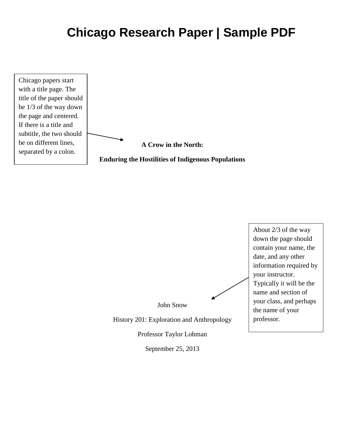# **Chicago Research Paper | Sample PDF**





September 25, 2013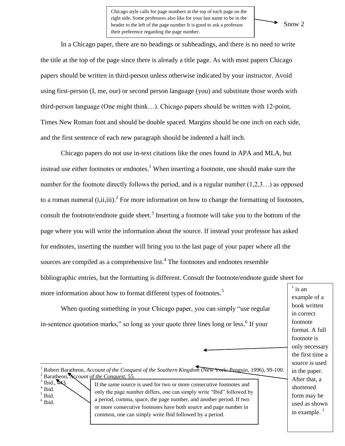Chicago style calls for page numbers at the top of each page on the right side. Some professors also like for your last name to be in the header to the left of the page number It is good to ask a professor their preference regarding the page number.

#### Snow 2

In a Chicago paper, there are no headings or subheadings, and there is no need to write the title at the top of the page since there is already a title page. As with most papers Chicago papers should be written in third-person unless otherwise indicated by your instructor. Avoid using first-person (I, me, our) or second person language (you) and substitute those words with third-person language (One might think…). Chicago papers should be written with 12-point, Times New Roman font and should be double spaced. Margins should be one inch on each side, and the first sentence of each new paragraph should be indented a half inch.

Chicago papers do not use in-text citations like the ones found in APA and MLA, but instead use either footnotes or endnotes.<sup>1</sup> When inserting a footnote, one should make sure the number for the footnote directly follows the period, and is a regular number  $(1,2,3...)$  as opposed to a roman numeral  $(i, ii, iii)$ .<sup>2</sup> For more information on how to change the formatting of footnotes, consult the footnote/endnote guide sheet.<sup>3</sup> Inserting a footnote will take you to the bottom of the page where you will write the information about the source. If instead your professor has asked for endnotes, inserting the number will bring you to the last page of your paper where all the sources are compiled as a comprehensive list. $4$  The footnotes and endnotes resemble bibliographic entries, but the formatting is different. Consult the footnote/endnote guide sheet for more information about how to format different types of footnotes.<sup>5</sup> 1

When quoting something in your Chicago paper, you can simply "use regular in-sentence quotation marks," so long as your quote three lines long or less.<sup>6</sup> If your

- 4 Ibid. 5 Ibid.
- 6 Ibid.

If the same source is used for two or more consecutive footnotes and only the page number differs, one can simply write "Ibid" followed by a period, comma, space, the page number, and another period. If two or more consecutive footnotes have both source and page number in common, one can simply write Ibid followed by a period.

is an example of a book written in correct footnote format. A full footnote is only necessary the first time a source is used in the paper. After that, a shortened form may be used as shown in example.<sup>2</sup>

l <sup>1</sup> Robert Baratheon, *Account of the Conquest of the Southern Kingdom* (New York: Penguin, 1996), 99-100. <sup>2</sup> Baratheon, *Account of the Conquest,* 55*.*

 $3$  Ibid.,  $443$ .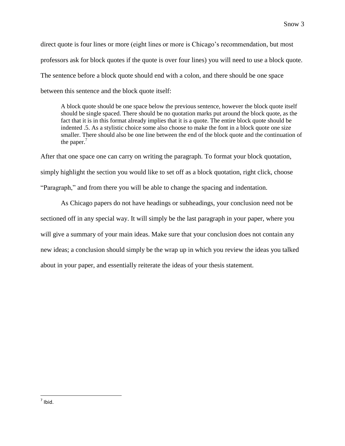direct quote is four lines or more (eight lines or more is Chicago's recommendation, but most professors ask for block quotes if the quote is over four lines) you will need to use a block quote. The sentence before a block quote should end with a colon, and there should be one space between this sentence and the block quote itself:

A block quote should be one space below the previous sentence, however the block quote itself should be single spaced. There should be no quotation marks put around the block quote, as the fact that it is in this format already implies that it is a quote. The entire block quote should be indented .5. As a stylistic choice some also choose to make the font in a block quote one size smaller. There should also be one line between the end of the block quote and the continuation of the paper. $'$ 

After that one space one can carry on writing the paragraph. To format your block quotation, simply highlight the section you would like to set off as a block quotation, right click, choose "Paragraph," and from there you will be able to change the spacing and indentation.

As Chicago papers do not have headings or subheadings, your conclusion need not be sectioned off in any special way. It will simply be the last paragraph in your paper, where you will give a summary of your main ideas. Make sure that your conclusion does not contain any new ideas; a conclusion should simply be the wrap up in which you review the ideas you talked about in your paper, and essentially reiterate the ideas of your thesis statement.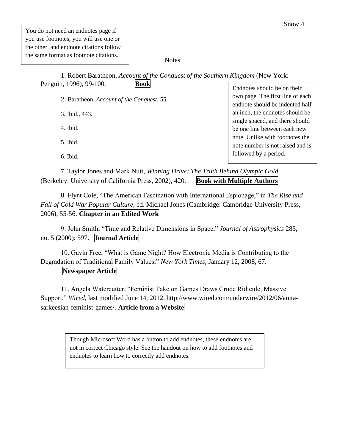#### **Notes**

1. Robert Baratheon, *Account of the Conquest of the Southern Kingdom* (New York: Penguin, 1996), 99-100. **Book**

2. Baratheon, *Account of the Conquest,* 55*.*

3. Ibid., 443.

4. Ibid.

5. Ibid.

6. Ibid.

Endnotes should be on their own page. The first line of each endnote should be indented half an inch, the endnotes should be single spaced, and there should be one line between each new note. Unlike with footnotes the note number is not raised and is followed by a period.

7. Taylor Jones and Mark Nutt, *Winning Drive: The Truth Behind Olympic Gold*  (Berkeley: University of California Press, 2002), 420. **Book with Multiple Authors**

8. Flynt Cole, "The American Fascination with International Espionage," in *The Rise and Fall of Cold War Popular Culture*, ed. Michael Jones (Cambridge: Cambridge University Press, 2006), 55-56. **Chapter in an Edited Work**

9. John Smith, "Time and Relative Dimensions in Space," *Journal of Astrophysics* 283, no. 5 (2000): 597. **Journal Article**

10. Gavin Free, "What is Game Night? How Electronic Media is Contributing to the Degradation of Traditional Family Values," *New York Times*, January 12, 2008, 67. **Newspaper Article**

11. Angela Watercutter, "Feminist Take on Games Draws Crude Ridicule, Massive Support," *Wired,* last modified June 14, 2012, http://www.wired.com/underwire/2012/06/anitasarkeesian-feminist-games/. **Article from a Website**

> Though Microsoft Word has a button to add endnotes, these endnotes are not in correct Chicago style. See the handout on how to add footnotes and endnotes to learn how to correctly add endnotes.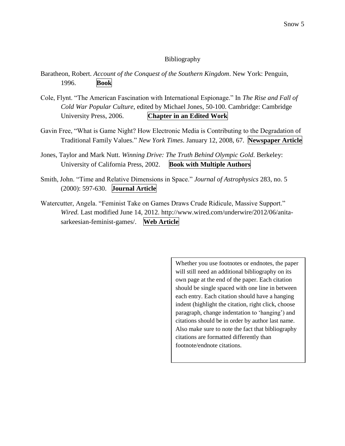## Bibliography

Baratheon, Robert. *Account of the Conquest of the Southern Kingdom*. New York: Penguin, 1996. **Book**

- Cole, Flynt. "The American Fascination with International Espionage." In *The Rise and Fall of Cold War Popular Culture*, edited by Michael Jones, 50-100. Cambridge: Cambridge University Press, 2006. **Chapter in an Edited Work**
- Gavin Free, "What is Game Night? How Electronic Media is Contributing to the Degradation of Traditional Family Values." *New York Times*. January 12, 2008, 67. **Newspaper Article**
- Jones, Taylor and Mark Nutt. *Winning Drive: The Truth Behind Olympic Gold*. Berkeley: University of California Press, 2002. **Book with Multiple Authors**
- Smith, John. "Time and Relative Dimensions in Space." *Journal of Astrophysics* 283, no. 5 (2000): 597-630. **Journal Article**
- Watercutter, Angela. "Feminist Take on Games Draws Crude Ridicule, Massive Support." *Wired.* Last modified June 14, 2012. http://www.wired.com/underwire/2012/06/anitasarkeesian-feminist-games/. **Web Article**

Whether you use footnotes or endnotes, the paper will still need an additional bibliography on its own page at the end of the paper. Each citation should be single spaced with one line in between each entry. Each citation should have a hanging indent (highlight the citation, right click, choose paragraph, change indentation to 'hanging') and citations should be in order by author last name. Also make sure to note the fact that bibliography citations are formatted differently than footnote/endnote citations.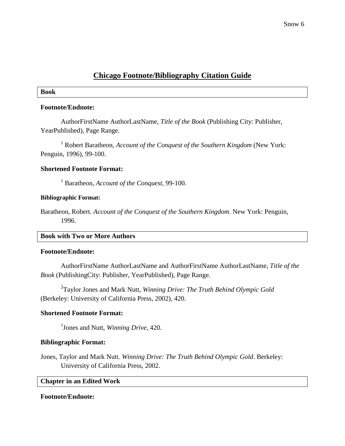## **Chicago Footnote/Bibliography Citation Guide**

## **Book**

## **Footnote/Endnote:**

AuthorFirstName AuthorLastName, *Title of the Book* (Publishing City: Publisher, YearPublished), Page Range.

<sup>1</sup> Robert Baratheon, *Account of the Conquest of the Southern Kingdom* (New York: Penguin, 1996), 99-100.

## **Shortened Footnote Format:**

<sup>1</sup> Baratheon, *Account of the Conquest,* 99-100.

## **Bibliographic Format:**

Baratheon, Robert. *Account of the Conquest of the Southern Kingdom*. New York: Penguin, 1996.

## **Book with Two or More Authors**

### **Footnote/Endnote:**

AuthorFirstName AuthorLastName and AuthorFirstName AuthorLastName, *Title of the Book* (PublishingCity: Publisher, YearPublished), Page Range.

2 Taylor Jones and Mark Nutt, *Winning Drive: The Truth Behind Olympic Gold*  (Berkeley: University of California Press, 2002), 420.

## **Shortened Footnote Format:**

1 Jones and Nutt, *Winning Drive*, 420.

## **Bibliographic Format:**

Jones, Taylor and Mark Nutt. *Winning Drive: The Truth Behind Olympic Gold*. Berkeley: University of California Press, 2002.

## **Chapter in an Edited Work**

## **Footnote/Endnote:**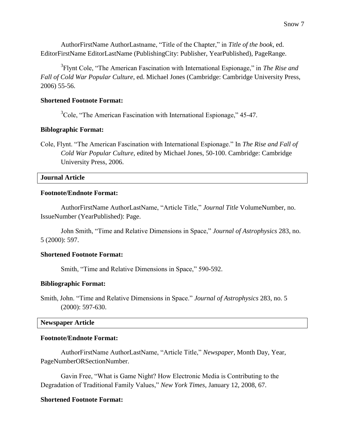AuthorFirstName AuthorLastname, "Title of the Chapter," in *Title of the book*, ed. EditorFirstName EditorLastName (PublishingCity: Publisher, YearPublished), PageRange.

3 Flynt Cole, "The American Fascination with International Espionage," in *The Rise and Fall of Cold War Popular Culture*, ed. Michael Jones (Cambridge: Cambridge University Press, 2006) 55-56.

## **Shortened Footnote Format:**

 $3^3$ Cole, "The American Fascination with International Espionage," 45-47.

### **Biblographic Format:**

Cole, Flynt. "The American Fascination with International Espionage." In *The Rise and Fall of Cold War Popular Culture*, edited by Michael Jones, 50-100. Cambridge: Cambridge University Press, 2006.

## **Journal Article**

## **Footnote/Endnote Format:**

AuthorFirstName AuthorLastName, "Article Title," *Journal Title* VolumeNumber, no. IssueNumber (YearPublished): Page.

John Smith, "Time and Relative Dimensions in Space," *Journal of Astrophysics* 283, no. 5 (2000): 597.

### **Shortened Footnote Format:**

Smith, "Time and Relative Dimensions in Space," 590-592.

### **Bibliographic Format:**

Smith, John. "Time and Relative Dimensions in Space." *Journal of Astrophysics* 283, no. 5 (2000): 597-630.

## **Newspaper Article**

### **Footnote/Endnote Format:**

AuthorFirstName AuthorLastName, "Article Title," *Newspaper,* Month Day, Year, PageNumberORSectionNumber.

Gavin Free, "What is Game Night? How Electronic Media is Contributing to the Degradation of Traditional Family Values," *New York Times*, January 12, 2008, 67.

## **Shortened Footnote Format:**